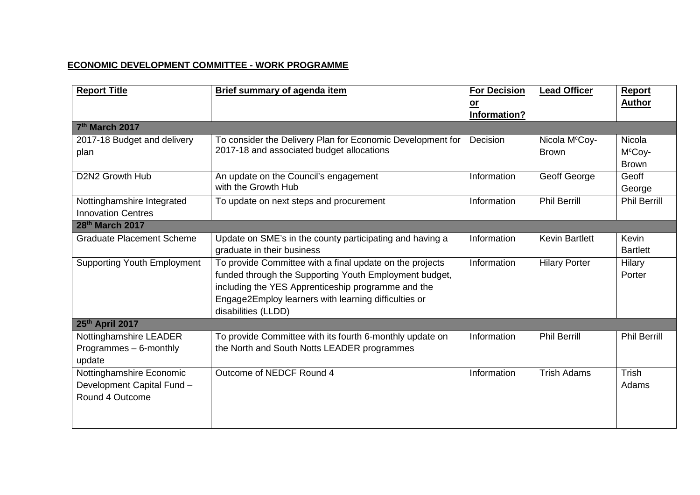## **ECONOMIC DEVELOPMENT COMMITTEE - WORK PROGRAMME**

| <b>Report Title</b>                                     | <b>Brief summary of agenda item</b>                                                                     | <b>For Decision</b><br>$or$ | <b>Lead Officer</b>                        | Report<br><b>Author</b>       |
|---------------------------------------------------------|---------------------------------------------------------------------------------------------------------|-----------------------------|--------------------------------------------|-------------------------------|
| 7th March 2017                                          |                                                                                                         | Information?                |                                            |                               |
|                                                         |                                                                                                         | <b>Decision</b>             |                                            | <b>Nicola</b>                 |
| 2017-18 Budget and delivery                             | To consider the Delivery Plan for Economic Development for<br>2017-18 and associated budget allocations |                             | Nicola M <sup>c</sup> Coy-<br><b>Brown</b> | M <sup>c</sup> Coy-           |
| plan                                                    |                                                                                                         |                             |                                            | <b>Brown</b>                  |
| D2N2 Growth Hub                                         |                                                                                                         | Information                 |                                            | Geoff                         |
|                                                         | An update on the Council's engagement<br>with the Growth Hub                                            |                             | Geoff George                               |                               |
|                                                         |                                                                                                         | Information                 | <b>Phil Berrill</b>                        | George<br><b>Phil Berrill</b> |
| Nottinghamshire Integrated<br><b>Innovation Centres</b> | To update on next steps and procurement                                                                 |                             |                                            |                               |
| 28 <sup>th</sup> March 2017                             |                                                                                                         |                             |                                            |                               |
|                                                         |                                                                                                         |                             |                                            |                               |
| <b>Graduate Placement Scheme</b>                        | Update on SME's in the county participating and having a                                                | Information                 | <b>Kevin Bartlett</b>                      | Kevin                         |
|                                                         | graduate in their business                                                                              |                             |                                            | <b>Bartlett</b>               |
| <b>Supporting Youth Employment</b>                      | To provide Committee with a final update on the projects                                                | Information                 | <b>Hilary Porter</b>                       | Hilary                        |
|                                                         | funded through the Supporting Youth Employment budget,                                                  |                             |                                            | Porter                        |
|                                                         | including the YES Apprenticeship programme and the                                                      |                             |                                            |                               |
|                                                         | Engage2Employ learners with learning difficulties or                                                    |                             |                                            |                               |
|                                                         | disabilities (LLDD)                                                                                     |                             |                                            |                               |
| 25th April 2017                                         |                                                                                                         |                             |                                            |                               |
| Nottinghamshire LEADER                                  | To provide Committee with its fourth 6-monthly update on                                                | Information                 | <b>Phil Berrill</b>                        | <b>Phil Berrill</b>           |
| Programmes - 6-monthly                                  | the North and South Notts LEADER programmes                                                             |                             |                                            |                               |
| update                                                  |                                                                                                         |                             |                                            |                               |
| Nottinghamshire Economic                                | Outcome of NEDCF Round 4                                                                                | Information                 | <b>Trish Adams</b>                         | Trish                         |
| Development Capital Fund -                              |                                                                                                         |                             |                                            | Adams                         |
| Round 4 Outcome                                         |                                                                                                         |                             |                                            |                               |
|                                                         |                                                                                                         |                             |                                            |                               |
|                                                         |                                                                                                         |                             |                                            |                               |